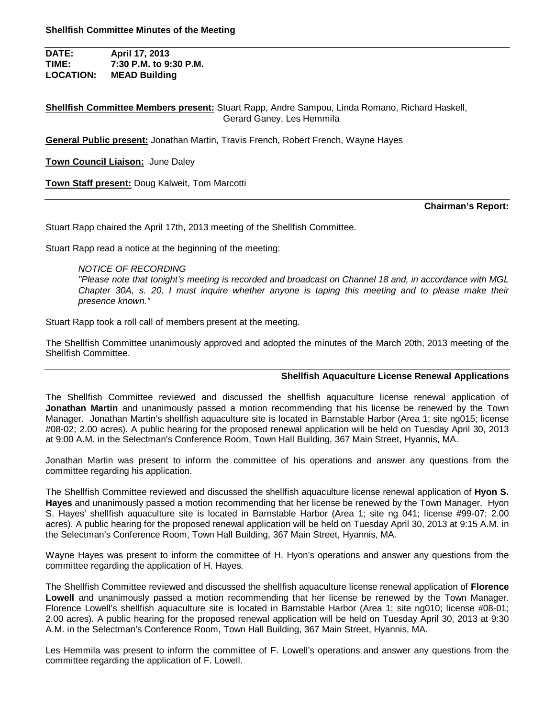**DATE: April 17, 2013 TIME: 7:30 P.M. to 9:30 P.M. LOCATION: MEAD Building**

**Shellfish Committee Members present:** Stuart Rapp, Andre Sampou, Linda Romano, Richard Haskell, Gerard Ganey, Les Hemmila

**General Public present:** Jonathan Martin, Travis French, Robert French, Wayne Hayes

**Town Council Liaison:** June Daley

**Town Staff present:** Doug Kalweit, Tom Marcotti

**Chairman's Report:**

Stuart Rapp chaired the April 17th, 2013 meeting of the Shellfish Committee.

Stuart Rapp read a notice at the beginning of the meeting:

### *NOTICE OF RECORDING*

*"Please note that tonight's meeting is recorded and broadcast on Channel 18 and, in accordance with MGL Chapter 30A, s. 20, I must inquire whether anyone is taping this meeting and to please make their presence known."*

Stuart Rapp took a roll call of members present at the meeting.

The Shellfish Committee unanimously approved and adopted the minutes of the March 20th, 2013 meeting of the Shellfish Committee.

### **Shellfish Aquaculture License Renewal Applications**

The Shellfish Committee reviewed and discussed the shellfish aquaculture license renewal application of **Jonathan Martin** and unanimously passed a motion recommending that his license be renewed by the Town Manager. Jonathan Martin's shellfish aquaculture site is located in Barnstable Harbor (Area 1; site ng015; license #08-02; 2.00 acres). A public hearing for the proposed renewal application will be held on Tuesday April 30, 2013 at 9:00 A.M. in the Selectman's Conference Room, Town Hall Building, 367 Main Street, Hyannis, MA.

Jonathan Martin was present to inform the committee of his operations and answer any questions from the committee regarding his application.

The Shellfish Committee reviewed and discussed the shellfish aquaculture license renewal application of **Hyon S. Hayes** and unanimously passed a motion recommending that her license be renewed by the Town Manager. Hyon S. Hayes' shellfish aquaculture site is located in Barnstable Harbor (Area 1; site ng 041; license #99-07; 2.00 acres). A public hearing for the proposed renewal application will be held on Tuesday April 30, 2013 at 9:15 A.M. in the Selectman's Conference Room, Town Hall Building, 367 Main Street, Hyannis, MA.

Wayne Hayes was present to inform the committee of H. Hyon's operations and answer any questions from the committee regarding the application of H. Hayes.

The Shellfish Committee reviewed and discussed the shellfish aquaculture license renewal application of **Florence Lowell** and unanimously passed a motion recommending that her license be renewed by the Town Manager. Florence Lowell's shellfish aquaculture site is located in Barnstable Harbor (Area 1; site ng010; license #08-01; 2.00 acres). A public hearing for the proposed renewal application will be held on Tuesday April 30, 2013 at 9:30 A.M. in the Selectman's Conference Room, Town Hall Building, 367 Main Street, Hyannis, MA.

Les Hemmila was present to inform the committee of F. Lowell's operations and answer any questions from the committee regarding the application of F. Lowell.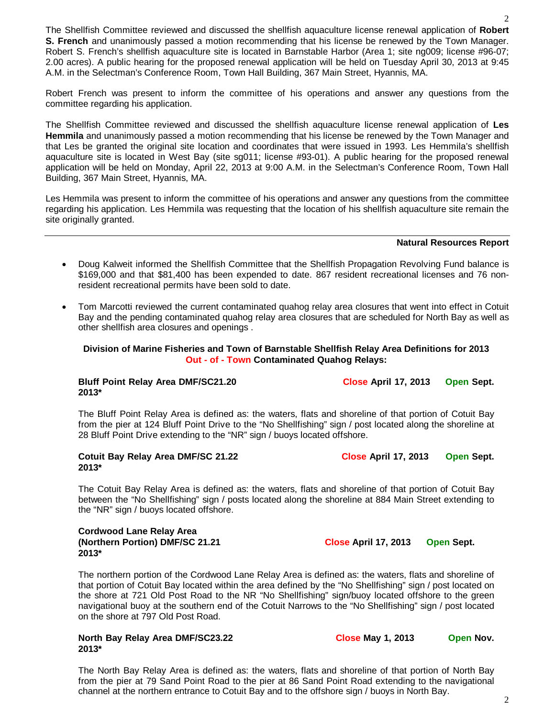The Shellfish Committee reviewed and discussed the shellfish aquaculture license renewal application of **Robert S. French** and unanimously passed a motion recommending that his license be renewed by the Town Manager. Robert S. French's shellfish aquaculture site is located in Barnstable Harbor (Area 1; site ng009; license #96-07; 2.00 acres). A public hearing for the proposed renewal application will be held on Tuesday April 30, 2013 at 9:45 A.M. in the Selectman's Conference Room, Town Hall Building, 367 Main Street, Hyannis, MA.

Robert French was present to inform the committee of his operations and answer any questions from the committee regarding his application.

The Shellfish Committee reviewed and discussed the shellfish aquaculture license renewal application of **Les Hemmila** and unanimously passed a motion recommending that his license be renewed by the Town Manager and that Les be granted the original site location and coordinates that were issued in 1993. Les Hemmila's shellfish aquaculture site is located in West Bay (site sg011; license #93-01). A public hearing for the proposed renewal application will be held on Monday, April 22, 2013 at 9:00 A.M. in the Selectman's Conference Room, Town Hall Building, 367 Main Street, Hyannis, MA.

Les Hemmila was present to inform the committee of his operations and answer any questions from the committee regarding his application. Les Hemmila was requesting that the location of his shellfish aquaculture site remain the site originally granted.

#### **Natural Resources Report**

- Doug Kalweit informed the Shellfish Committee that the Shellfish Propagation Revolving Fund balance is \$169,000 and that \$81,400 has been expended to date. 867 resident recreational licenses and 76 nonresident recreational permits have been sold to date.
- Tom Marcotti reviewed the current contaminated quahog relay area closures that went into effect in Cotuit Bay and the pending contaminated quahog relay area closures that are scheduled for North Bay as well as other shellfish area closures and openings .

### **Division of Marine Fisheries and Town of Barnstable Shellfish Relay Area Definitions for 2013 Out - of - Town Contaminated Quahog Relays:**

### Bluff Point Relay Area DMF/SC21.20 Close April 17, 2013 Open Sept. **2013\***

The Bluff Point Relay Area is defined as: the waters, flats and shoreline of that portion of Cotuit Bay from the pier at 124 Bluff Point Drive to the "No Shellfishing" sign / post located along the shoreline at 28 Bluff Point Drive extending to the "NR" sign / buoys located offshore.

**Cotuit Bay Relay Area DMF/SC 21.22 Close April 17, 2013 Open Sept. 2013\***

The Cotuit Bay Relay Area is defined as: the waters, flats and shoreline of that portion of Cotuit Bay between the "No Shellfishing" sign / posts located along the shoreline at 884 Main Street extending to the "NR" sign / buoys located offshore.

### **Cordwood Lane Relay Area (Northern Portion) DMF/SC 21.21 Close April 17, 2013 Open Sept. 2013\***

The northern portion of the Cordwood Lane Relay Area is defined as: the waters, flats and shoreline of that portion of Cotuit Bay located within the area defined by the "No Shellfishing" sign / post located on the shore at 721 Old Post Road to the NR "No Shellfishing" sign/buoy located offshore to the green navigational buoy at the southern end of the Cotuit Narrows to the "No Shellfishing" sign / post located on the shore at 797 Old Post Road.

#### **North Bay Relay Area DMF/SC23.22** Close May 1, 2013 Open Nov. **2013\***

The North Bay Relay Area is defined as: the waters, flats and shoreline of that portion of North Bay from the pier at 79 Sand Point Road to the pier at 86 Sand Point Road extending to the navigational channel at the northern entrance to Cotuit Bay and to the offshore sign / buoys in North Bay.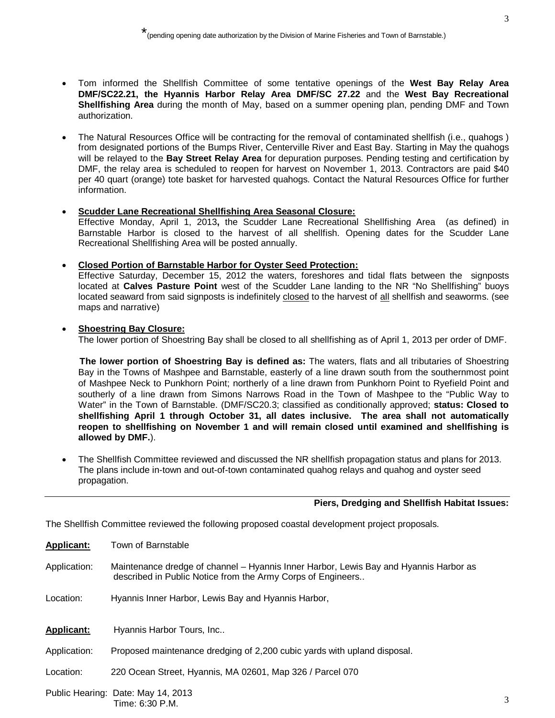- Tom informed the Shellfish Committee of some tentative openings of the **West Bay Relay Area DMF/SC22.21, the Hyannis Harbor Relay Area DMF/SC 27.22** and the **West Bay Recreational Shellfishing Area** during the month of May, based on a summer opening plan, pending DMF and Town authorization.
- The Natural Resources Office will be contracting for the removal of contaminated shellfish (i.e., quahogs ) from designated portions of the Bumps River, Centerville River and East Bay. Starting in May the quahogs will be relayed to the **Bay Street Relay Area** for depuration purposes. Pending testing and certification by DMF, the relay area is scheduled to reopen for harvest on November 1, 2013. Contractors are paid \$40 per 40 quart (orange) tote basket for harvested quahogs. Contact the Natural Resources Office for further information.

# **Scudder Lane Recreational Shellfishing Area Seasonal Closure:**

Effective Monday, April 1, 2013**,** the Scudder Lane Recreational Shellfishing Area (as defined) in Barnstable Harbor is closed to the harvest of all shellfish. Opening dates for the Scudder Lane Recreational Shellfishing Area will be posted annually.

# **Closed Portion of Barnstable Harbor for Oyster Seed Protection:**

Effective Saturday, December 15, 2012 the waters, foreshores and tidal flats between the signposts located at **Calves Pasture Point** west of the Scudder Lane landing to the NR "No Shellfishing" buoys located seaward from said signposts is indefinitely closed to the harvest of all shellfish and seaworms. (see maps and narrative)

# **Shoestring Bay Closure:**

The lower portion of Shoestring Bay shall be closed to all shellfishing as of April 1, 2013 per order of DMF.

 **The lower portion of Shoestring Bay is defined as:** The waters, flats and all tributaries of Shoestring Bay in the Towns of Mashpee and Barnstable, easterly of a line drawn south from the southernmost point of Mashpee Neck to Punkhorn Point; northerly of a line drawn from Punkhorn Point to Ryefield Point and southerly of a line drawn from Simons Narrows Road in the Town of Mashpee to the "Public Way to Water" in the Town of Barnstable. (DMF/SC20.3; classified as conditionally approved; **status: Closed to shellfishing April 1 through October 31, all dates inclusive. The area shall not automatically reopen to shellfishing on November 1 and will remain closed until examined and shellfishing is allowed by DMF.**).

 The Shellfish Committee reviewed and discussed the NR shellfish propagation status and plans for 2013. The plans include in-town and out-of-town contaminated quahog relays and quahog and oyster seed propagation.

# **Piers, Dredging and Shellfish Habitat Issues:**

The Shellfish Committee reviewed the following proposed coastal development project proposals.

**Applicant:** Town of Barnstable

- Application: Maintenance dredge of channel Hyannis Inner Harbor, Lewis Bay and Hyannis Harbor as described in Public Notice from the Army Corps of Engineers..
- Location: Hyannis Inner Harbor, Lewis Bay and Hyannis Harbor,
- **Applicant:** Hyannis Harbor Tours, Inc..
- Application: Proposed maintenance dredging of 2,200 cubic yards with upland disposal.
- Location: 220 Ocean Street, Hyannis, MA 02601, Map 326 / Parcel 070
- Public Hearing: Date: May 14, 2013 Time: 6:30 P.M.